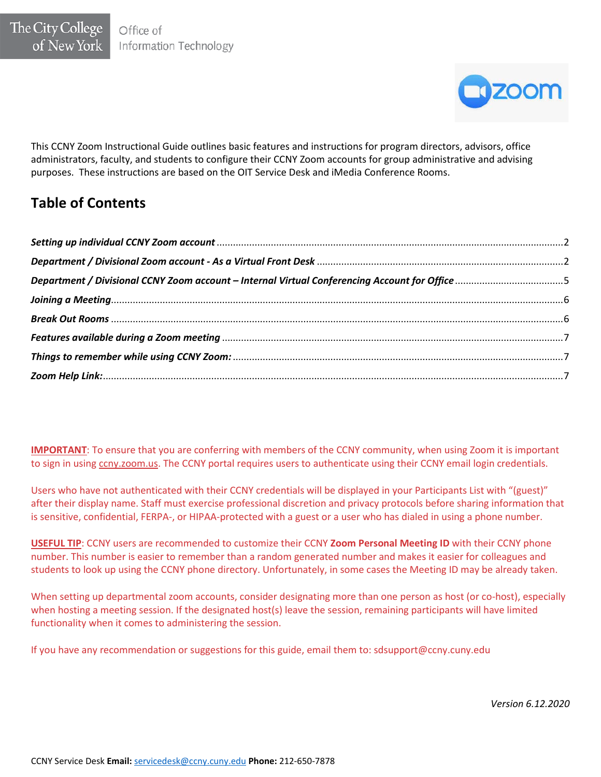

This CCNY Zoom Instructional Guide outlines basic features and instructions for program directors, advisors, office administrators, faculty, and students to configure their CCNY Zoom accounts for group administrative and advising purposes. These instructions are based on the OIT Service Desk and iMedia Conference Rooms.

# **Table of Contents**

**IMPORTANT**: To ensure that you are conferring with members of the CCNY community, when using Zoom it is important to sign in using ccny.zoom.us. The CCNY portal requires users to authenticate using their CCNY email login credentials.

Users who have not authenticated with their CCNY credentials will be displayed in your Participants List with "(guest)" after their display name. Staff must exercise professional discretion and privacy protocols before sharing information that is sensitive, confidential, FERPA-, or HIPAA-protected with a guest or a user who has dialed in using a phone number.

**USEFUL TIP**: CCNY users are recommended to customize their CCNY **Zoom Personal Meeting ID** with their CCNY phone number. This number is easier to remember than a random generated number and makes it easier for colleagues and students to look up using the CCNY phone directory. Unfortunately, in some cases the Meeting ID may be already taken.

When setting up departmental zoom accounts, consider designating more than one person as host (or co-host), especially when hosting a meeting session. If the designated host(s) leave the session, remaining participants will have limited functionality when it comes to administering the session.

If you have any recommendation or suggestions for this guide, email them to: sdsupport@ccny.cuny.edu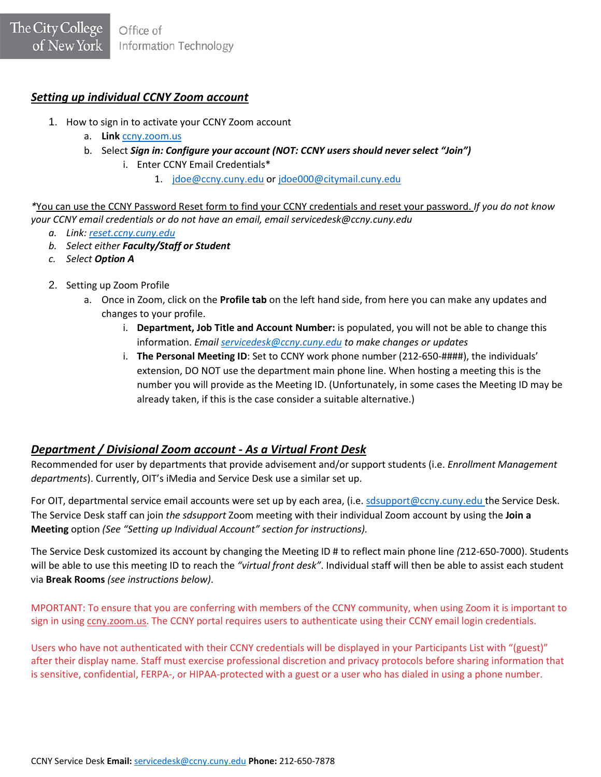## <span id="page-1-0"></span>*Setting up individual CCNY Zoom account*

- 1. How to sign in to activate your CCNY Zoom account
	- a. **Link** [ccny.zoom.us](https://ccny.coom.us/)
	- b. Select *Sign in: Configure your account (NOT: CCNY users should never select "Join")*
		- i. Enter CCNY Email Credentials\*
			- 1. [jdoe@ccny.cuny.edu](mailto:jdoe@ccny.cuny.edu) o[r jdoe000@citymail.cuny.edu](mailto:jdoe000@citymail.cuny.edu)

*\**You can use the CCNY Password Reset form to find your CCNY credentials and reset your password. *If you do not know your CCNY email credentials or do not have an email, email servicedesk@ccny.cuny.edu*

- *a. Link[: reset.ccny.cuny.edu](https://reset.ccny.cuny.edu/)*
- *b. Select either Faculty/Staff or Student*
- *c. Select Option A*
- 2. Setting up Zoom Profile
	- a. Once in Zoom, click on the **Profile tab** on the left hand side, from here you can make any updates and changes to your profile.
		- i. **Department, Job Title and Account Number:** is populated, you will not be able to change this information. *Email [servicedesk@ccny.cuny.edu](mailto:servicedesk@ccny.cuny.edu) to make changes or updates*
		- i. **The Personal Meeting ID**: Set to CCNY work phone number (212-650-####), the individuals' extension, DO NOT use the department main phone line. When hosting a meeting this is the number you will provide as the Meeting ID. (Unfortunately, in some cases the Meeting ID may be already taken, if this is the case consider a suitable alternative.)

# <span id="page-1-1"></span>*Department / Divisional Zoom account - As a Virtual Front Desk*

Recommended for user by departments that provide advisement and/or support students (i.e. *Enrollment Management departments*). Currently, OIT's iMedia and Service Desk use a similar set up.

For OIT, departmental service email accounts were set up by each area, (i.e. [sdsupport@ccny.cuny.edu](mailto:sdsupport@ccny.cuny.edu) the Service Desk. The Service Desk staff can join *the sdsupport* Zoom meeting with their individual Zoom account by using the **Join a Meeting** option *(See "Setting up Individual Account" section for instructions).* 

The Service Desk customized its account by changing the Meeting ID # to reflect main phone line *(*212-650-7000). Students will be able to use this meeting ID to reach the *"virtual front desk"*. Individual staff will then be able to assist each student via **Break Rooms** *(see instructions below)*.

MPORTANT: To ensure that you are conferring with members of the CCNY community, when using Zoom it is important to sign in using ccny.zoom.us. The CCNY portal requires users to authenticate using their CCNY email login credentials.

Users who have not authenticated with their CCNY credentials will be displayed in your Participants List with "(guest)" after their display name. Staff must exercise professional discretion and privacy protocols before sharing information that is sensitive, confidential, FERPA-, or HIPAA-protected with a guest or a user who has dialed in using a phone number.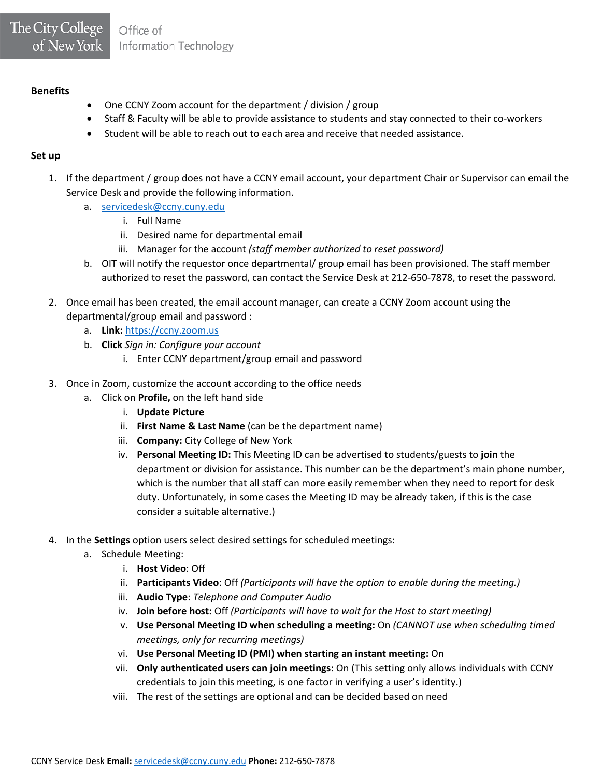#### **Benefits**

- One CCNY Zoom account for the department / division / group
- Staff & Faculty will be able to provide assistance to students and stay connected to their co-workers
- Student will be able to reach out to each area and receive that needed assistance.

#### **Set up**

- 1. If the department / group does not have a CCNY email account, your department Chair or Supervisor can email the Service Desk and provide the following information.
	- a. [servicedesk@ccny.cuny.edu](mailto:servicedesk@ccny.cuny.edu)
		- i. Full Name
		- ii. Desired name for departmental email
		- iii. Manager for the account *(staff member authorized to reset password)*
	- b. OIT will notify the requestor once departmental/ group email has been provisioned. The staff member authorized to reset the password, can contact the Service Desk at 212-650-7878, to reset the password.
- 2. Once email has been created, the email account manager, can create a CCNY Zoom account using the departmental/group email and password :
	- a. **Link:** [https://ccny.zoom.us](https://ccny.zoom.us/)
	- b. **Click** *Sign in: Configure your account*
		- i. Enter CCNY department/group email and password
- 3. Once in Zoom, customize the account according to the office needs
	- a. Click on **Profile,** on the left hand side
		- i. **Update Picture**
		- ii. **First Name & Last Name** (can be the department name)
		- iii. **Company:** City College of New York
		- iv. **Personal Meeting ID:** This Meeting ID can be advertised to students/guests to **join** the department or division for assistance. This number can be the department's main phone number, which is the number that all staff can more easily remember when they need to report for desk duty. Unfortunately, in some cases the Meeting ID may be already taken, if this is the case consider a suitable alternative.)
- 4. In the **Settings** option users select desired settings for scheduled meetings:
	- a. Schedule Meeting:
		- i. **Host Video**: Off
		- ii. **Participants Video**: Off *(Participants will have the option to enable during the meeting.)*
		- iii. **Audio Type**: *Telephone and Computer Audio*
		- iv. **Join before host:** Off *(Participants will have to wait for the Host to start meeting)*
		- v. **Use Personal Meeting ID when scheduling a meeting:** On *(CANNOT use when scheduling timed meetings, only for recurring meetings)*
		- vi. **Use Personal Meeting ID (PMI) when starting an instant meeting:** On
		- vii. **Only authenticated users can join meetings:** On (This setting only allows individuals with CCNY credentials to join this meeting, is one factor in verifying a user's identity.)
		- viii. The rest of the settings are optional and can be decided based on need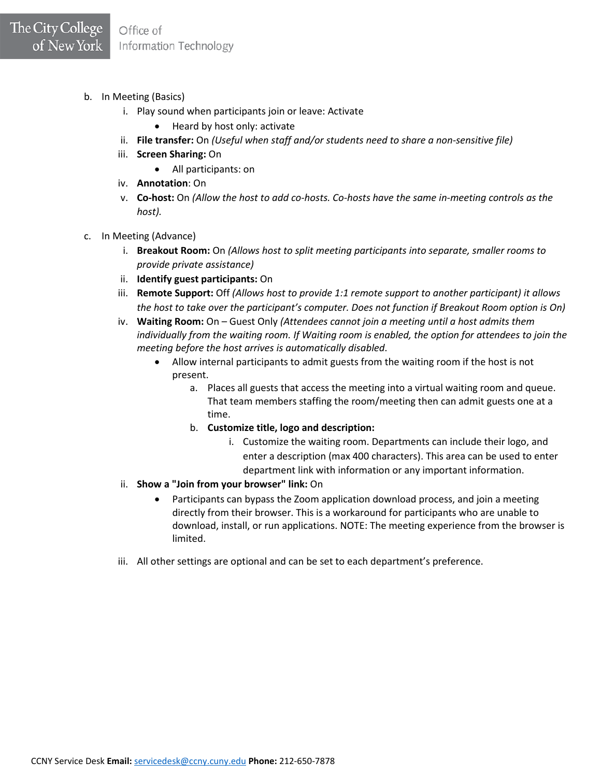- b. In Meeting (Basics)
	- i. Play sound when participants join or leave: Activate
		- Heard by host only: activate
	- ii. **File transfer:** On *(Useful when staff and/or students need to share a non-sensitive file)*
	- iii. **Screen Sharing:** On
		- All participants: on
	- iv. **Annotation**: On
	- v. **Co-host:** On *(Allow the host to add co-hosts. Co-hosts have the same in-meeting controls as the host).*
- c. In Meeting (Advance)
	- i. **Breakout Room:** On *(Allows host to split meeting participants into separate, smaller rooms to provide private assistance)*
	- ii. **Identify guest participants:** On
	- iii. **Remote Support:** Off *(Allows host to provide 1:1 remote support to another participant) it allows the host to take over the participant's computer. Does not function if Breakout Room option is On)*
	- iv. **Waiting Room:** On Guest Only *(Attendees cannot join a meeting until a host admits them individually from the waiting room. If Waiting room is enabled, the option for attendees to join the meeting before the host arrives is automatically disabled*.
		- Allow internal participants to admit guests from the waiting room if the host is not present.
			- a. Places all guests that access the meeting into a virtual waiting room and queue. That team members staffing the room/meeting then can admit guests one at a time.
			- b. **Customize title, logo and description:**
				- i. Customize the waiting room. Departments can include their logo, and enter a description (max 400 characters). This area can be used to enter department link with information or any important information.
	- ii. **Show a "Join from your browser" link:** On
		- Participants can bypass the Zoom application download process, and join a meeting directly from their browser. This is a workaround for participants who are unable to download, install, or run applications. NOTE: The meeting experience from the browser is limited.
	- iii. All other settings are optional and can be set to each department's preference.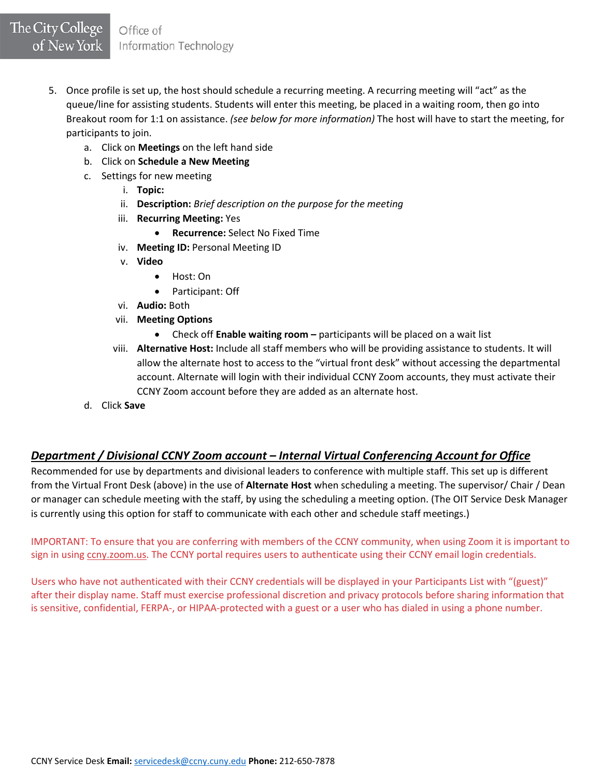- 5. Once profile is set up, the host should schedule a recurring meeting. A recurring meeting will "act" as the queue/line for assisting students. Students will enter this meeting, be placed in a waiting room, then go into Breakout room for 1:1 on assistance. *(see below for more information)* The host will have to start the meeting, for participants to join.
	- a. Click on **Meetings** on the left hand side
	- b. Click on **Schedule a New Meeting**
	- c. Settings for new meeting
		- i. **Topic:**
		- ii. **Description:** *Brief description on the purpose for the meeting*
		- iii. **Recurring Meeting:** Yes
			- **Recurrence:** Select No Fixed Time
		- iv. **Meeting ID:** Personal Meeting ID
		- v. **Video**
			- Host: On
			- Participant: Off
		- vi. **Audio:** Both
		- vii. **Meeting Options**
			- Check off **Enable waiting room –** participants will be placed on a wait list
		- viii. **Alternative Host:** Include all staff members who will be providing assistance to students. It will allow the alternate host to access to the "virtual front desk" without accessing the departmental account. Alternate will login with their individual CCNY Zoom accounts, they must activate their CCNY Zoom account before they are added as an alternate host.
	- d. Click **Save**

# <span id="page-4-0"></span>*Department / Divisional CCNY Zoom account – Internal Virtual Conferencing Account for Office*

Recommended for use by departments and divisional leaders to conference with multiple staff. This set up is different from the Virtual Front Desk (above) in the use of **Alternate Host** when scheduling a meeting. The supervisor/ Chair / Dean or manager can schedule meeting with the staff, by using the scheduling a meeting option. (The OIT Service Desk Manager is currently using this option for staff to communicate with each other and schedule staff meetings.)

IMPORTANT: To ensure that you are conferring with members of the CCNY community, when using Zoom it is important to sign in using cony.zoom.us. The CCNY portal requires users to authenticate using their CCNY email login credentials.

Users who have not authenticated with their CCNY credentials will be displayed in your Participants List with "(guest)" after their display name. Staff must exercise professional discretion and privacy protocols before sharing information that is sensitive, confidential, FERPA-, or HIPAA-protected with a guest or a user who has dialed in using a phone number.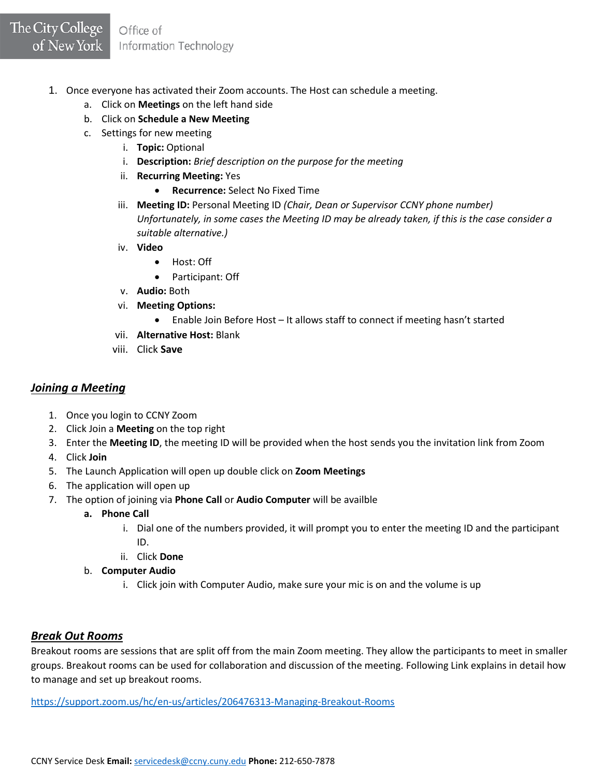- 1. Once everyone has activated their Zoom accounts. The Host can schedule a meeting.
	- a. Click on **Meetings** on the left hand side
	- b. Click on **Schedule a New Meeting**
	- c. Settings for new meeting
		- i. **Topic:** Optional
		- i. **Description:** *Brief description on the purpose for the meeting*
		- ii. **Recurring Meeting:** Yes
			- **Recurrence:** Select No Fixed Time
		- iii. **Meeting ID:** Personal Meeting ID *(Chair, Dean or Supervisor CCNY phone number) Unfortunately, in some cases the Meeting ID may be already taken, if this is the case consider a suitable alternative.)*
		- iv. **Video**
			- Host: Off
			- Participant: Off
		- v. **Audio:** Both
		- vi. **Meeting Options:** 
			- Enable Join Before Host It allows staff to connect if meeting hasn't started
		- vii. **Alternative Host:** Blank
		- viii. Click **Save**

## <span id="page-5-0"></span>*Joining a Meeting*

- 1. Once you login to CCNY Zoom
- 2. Click Join a **Meeting** on the top right
- 3. Enter the **Meeting ID**, the meeting ID will be provided when the host sends you the invitation link from Zoom
- 4. Click **Join**
- 5. The Launch Application will open up double click on **Zoom Meetings**
- 6. The application will open up
- 7. The option of joining via **Phone Call** or **Audio Computer** will be availble
	- **a. Phone Call** 
		- i. Dial one of the numbers provided, it will prompt you to enter the meeting ID and the participant ID.
		- ii. Click **Done**
	- b. **Computer Audio** 
		- i. Click join with Computer Audio, make sure your mic is on and the volume is up

### <span id="page-5-1"></span>*Break Out Rooms*

Breakout rooms are sessions that are split off from the main Zoom meeting. They allow the participants to meet in smaller groups. Breakout rooms can be used for collaboration and discussion of the meeting. Following Link explains in detail how to manage and set up breakout rooms.

<https://support.zoom.us/hc/en-us/articles/206476313-Managing-Breakout-Rooms>